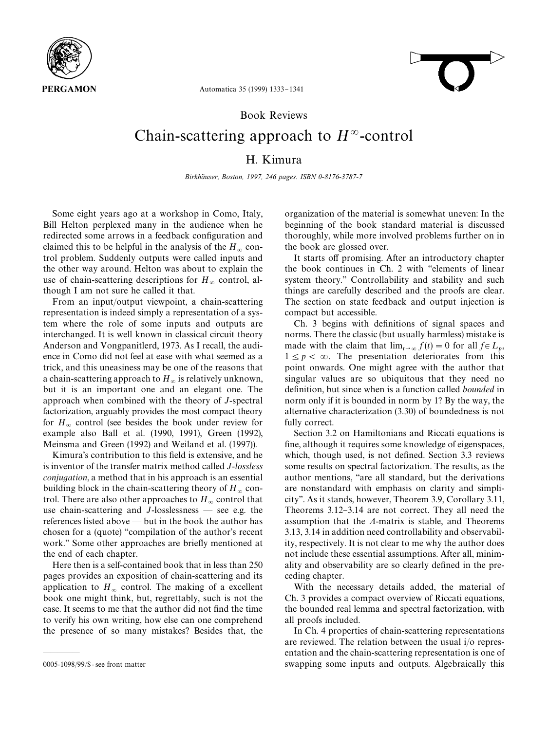



Automatica 35 (1999) 1333-1341

### Book Reviews

# Chain-scattering approach to  $H^{\infty}$ -control H. Kimura

*Birkhäuser, Boston, 1997, 246 pages. ISBN 0-8176-3787-7* 

Some eight years ago at a workshop in Como, Italy, Bill Helton perplexed many in the audience when he redirected some arrows in a feedback configuration and claimed this to be helpful in the analysis of the  $H_{\infty}$  control problem. Suddenly outputs were called inputs and the other way around. Helton was about to explain the use of chain-scattering descriptions for  $H_{\infty}$  control, although I am not sure he called it that.

From an input/output viewpoint, a chain-scattering representation is indeed simply a representation of a system where the role of some inputs and outputs are interchanged. It is well known in classical circuit theory Anderson and Vongpanitlerd, 1973. As I recall, the audience in Como did not feel at ease with what seemed as a trick, and this uneasiness may be one of the reasons that a chain-scattering approach to  $H_{\infty}$  is relatively unknown, but it is an important one and an elegant one. The approach when combined with the theory of *J*-spectral factorization, arguably provides the most compact theory for  $H_{\infty}$  control (see besides the book under review for example also Ball et al. (1990, 1991), Green (1992), Meinsma and Green (1992) and Weiland et al. (1997)).

Kimura's contribution to this field is extensive, and he is inventor of the transfer matrix method called *J*-*lossless conjugation*, a method that in his approach is an essential building block in the chain-scattering theory of  $H_{\infty}$  control. There are also other approaches to  $H_{\infty}$  control that use chain-scattering and  $J$ -losslessness  $-$  see e.g. the references listed above  $-$  but in the book the author has chosen for a (quote) "compilation of the author's recent work." Some other approaches are briefly mentioned at the end of each chapter.

Here then is a self-contained book that in less than 250 pages provides an exposition of chain-scattering and its application to  $H_{\infty}$  control. The making of a excellent book one might think, but, regrettably, such is not the case. It seems to me that the author did not find the time to verify his own writing, how else can one comprehend the presence of so many mistakes? Besides that, the

\*\*\*\*\*

organization of the material is somewhat uneven: In the beginning of the book standard material is discussed thoroughly, while more involved problems further on in the book are glossed over.

It starts off promising. After an introductory chapter the book continues in Ch. 2 with "elements of linear system theory.'' Controllability and stability and such things are carefully described and the proofs are clear. The section on state feedback and output injection is compact but accessible.

Ch. 3 begins with definitions of signal spaces and norms. There the classic (but usually harmless) mistake is made with the claim that  $\lim_{t\to\infty} f(t) = 0$  for all  $f \in L_p$ ,  $1 \leq p < \infty$ . The presentation deteriorates from this point onwards. One might agree with the author that singular values are so ubiquitous that they need no definition, but since when is a function called *bounded* in norm only if it is bounded in norm by 1? By the way, the alternative characterization (3.30) of boundedness is not fully correct.

Section 3.2 on Hamiltonians and Riccati equations is fine, although it requires some knowledge of eigenspaces, which, though used, is not defined. Section 3.3 reviews some results on spectral factorization. The results, as the author mentions, "are all standard, but the derivations are nonstandard with emphasis on clarity and simplicity''. As it stands, however, Theorem 3.9, Corollary 3.11, Theorems 3.12–3.14 are not correct. They all need the assumption that the *A*-matrix is stable, and Theorems 3.13, 3.14 in addition need controllability and observability, respectively. It is not clear to me why the author does not include these essential assumptions. After all, minimality and observability are so clearly defined in the preceding chapter.

With the necessary details added, the material of Ch. 3 provides a compact overview of Riccati equations, the bounded real lemma and spectral factorization, with all proofs included.

In Ch. 4 properties of chain-scattering representations are reviewed. The relation between the usual i/o representation and the chain-scattering representation is one of swapping some inputs and outputs. Algebraically this

<sup>0005-1098/99/\$ -</sup> see front matter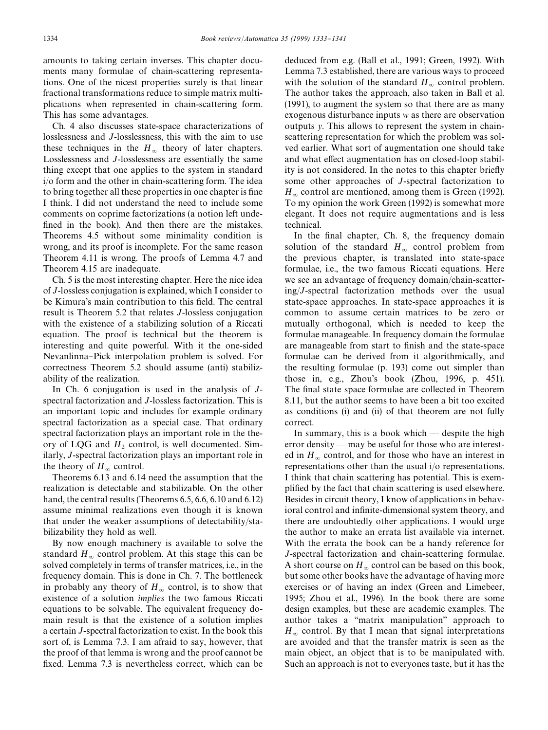amounts to taking certain inverses. This chapter documents many formulae of chain-scattering representations. One of the nicest properties surely is that linear fractional transformations reduce to simple matrix multiplications when represented in chain-scattering form. This has some advantages.

Ch. 4 also discusses state-space characterizations of losslessness and *J*-losslessness, this with the aim to use these techniques in the  $H_{\infty}$  theory of later chapters. Losslessness and *J*-losslessness are essentially the same thing except that one applies to the system in standard i/o form and the other in chain-scattering form. The idea to bring together all these properties in one chapter is fine I think. I did not understand the need to include some comments on coprime factorizations (a notion left unde fined in the book). And then there are the mistakes. Theorems 4.5 without some minimality condition is wrong, and its proof is incomplete. For the same reason Theorem 4.11 is wrong. The proofs of Lemma 4.7 and Theorem 4.15 are inadequate.

Ch. 5 is the most interesting chapter. Here the nice idea of *J*-lossless conjugation is explained, which I consider to be Kimura's main contribution to this field. The central result is Theorem 5.2 that relates *J*-lossless conjugation with the existence of a stabilizing solution of a Riccati equation. The proof is technical but the theorem is interesting and quite powerful. With it the one-sided Nevanlinna-Pick interpolation problem is solved. For correctness Theorem 5.2 should assume (anti) stabilizability of the realization.

In Ch. 6 conjugation is used in the analysis of *J*spectral factorization and *J*-lossless factorization. This is an important topic and includes for example ordinary spectral factorization as a special case. That ordinary spectral factorization plays an important role in the theory of LQG and  $H_2$  control, is well documented. Similarly, *J*-spectral factorization plays an important role in the theory of  $H_{\infty}$  control.

Theorems 6.13 and 6.14 need the assumption that the realization is detectable and stabilizable. On the other hand, the central results (Theorems 6.5, 6.6, 6.10 and 6.12) assume minimal realizations even though it is known that under the weaker assumptions of detectability/stabilizability they hold as well.

By now enough machinery is available to solve the standard  $H_{\infty}$  control problem. At this stage this can be solved completely in terms of transfer matrices, i.e., in the frequency domain. This is done in Ch. 7. The bottleneck in probably any theory of  $H_{\infty}$  control, is to show that existence of a solution *implies* the two famous Riccati equations to be solvable. The equivalent frequency domain result is that the existence of a solution implies a certain *J*-spectral factorization to exist. In the book this sort of, is Lemma 7.3. I am afraid to say, however, that the proof of that lemma is wrong and the proof cannot be fixed. Lemma 7.3 is nevertheless correct, which can be deduced from e.g. (Ball et al., 1991; Green, 1992). With Lemma 7.3 established, there are various ways to proceed with the solution of the standard  $H_{\infty}$  control problem. The author takes the approach, also taken in Ball et al. (1991), to augment the system so that there are as many exogenous disturbance inputs *w* as there are observation outputs *y*. This allows to represent the system in chainscattering representation for which the problem was solved earlier. What sort of augmentation one should take and what effect augmentation has on closed-loop stability is not considered. In the notes to this chapter briefly some other approaches of *J*-spectral factorization to  $H_{\infty}$  control are mentioned, among them is Green (1992). To my opinion the work Green (1992) is somewhat more elegant. It does not require augmentations and is less technical.

In the final chapter, Ch. 8, the frequency domain solution of the standard  $H_{\infty}$  control problem from the previous chapter, is translated into state-space formulae, i.e., the two famous Riccati equations. Here we see an advantage of frequency domain/chain-scattering/*J*-spectral factorization methods over the usual state-space approaches. In state-space approaches it is common to assume certain matrices to be zero or mutually orthogonal, which is needed to keep the formulae manageable. In frequency domain the formulae are manageable from start to finish and the state-space formulae can be derived from it algorithmically, and the resulting formulae (p. 193) come out simpler than those in, e.g., Zhou's book (Zhou, 1996, p. 451). The final state space formulae are collected in Theorem 8.11, but the author seems to have been a bit too excited as conditions (i) and (ii) of that theorem are not fully correct.

In summary, this is a book which  $-$  despite the high error density  $-$  may be useful for those who are interested in  $H_{\infty}$  control, and for those who have an interest in representations other than the usual i/o representations. I think that chain scattering has potential. This is exemplified by the fact that chain scattering is used elsewhere. Besides in circuit theory, I know of applications in behavioral control and infinite-dimensional system theory, and there are undoubtedly other applications. I would urge the author to make an errata list available via internet. With the errata the book can be a handy reference for *J*-spectral factorization and chain-scattering formulae. A short course on  $H_{\infty}$  control can be based on this book, but some other books have the advantage of having more exercises or of having an index (Green and Limebeer, 1995; Zhou et al., 1996). In the book there are some design examples, but these are academic examples. The author takes a "matrix manipulation" approach to  $H_{\infty}$  control. By that I mean that signal interpretations are avoided and that the transfer matrix is seen as the main object, an object that is to be manipulated with. Such an approach is not to everyones taste, but it has the